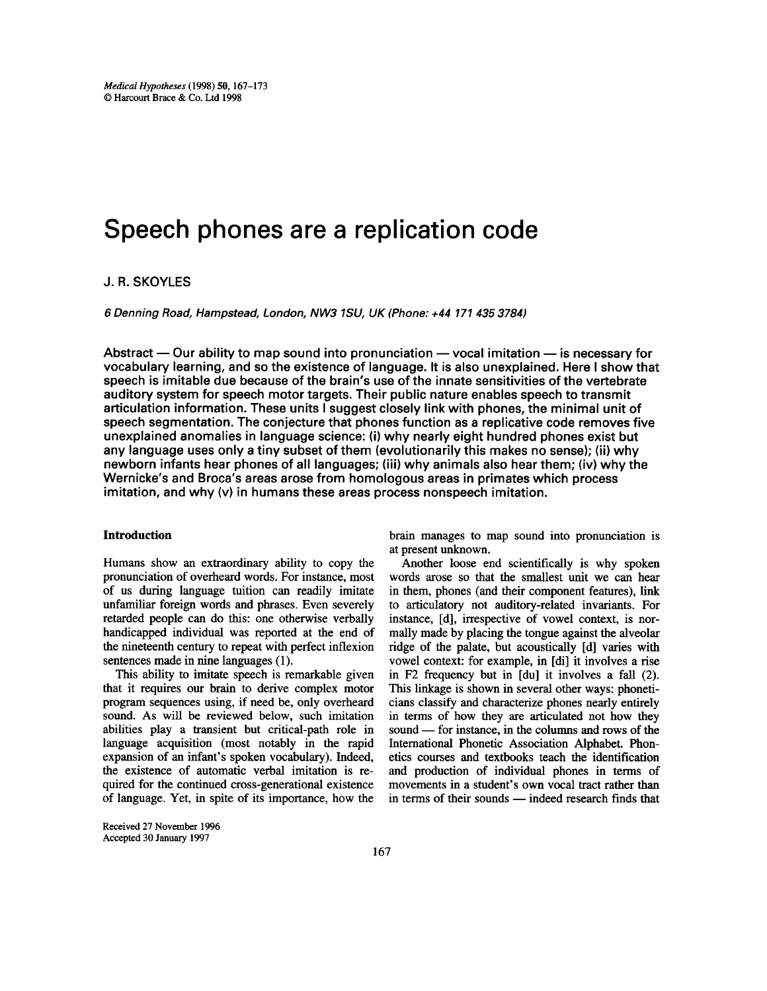# **Speech phones are a replication code**

# J. R. SKOYLES

*6 Denning Road, Hampstead, London, NW3 1SU, UK (Phone: +44 171 435 3784)* 

Abstract  $-$  Our ability to map sound into pronunciation  $-$  vocal imitation  $-$  is necessary for vocabulary learning, and so the existence of language. It is also unexplained. Here I show that **speech is** imitable due because of the brain's use of the innate sensitivities of the vertebrate auditory system for speech motor targets. Their public nature enables speech to transmit articulation information. These units I suggest closely link with phones, the minimal unit of speech segmentation. The conjecture that phones function as a replicative code removes five unexplained anomalies in language science: (i) why nearly eight hundred phones exist but any language uses only a tiny subset of them (evolutionarily this makes no sense); (ii) why newborn infants hear phones of all languages; (iii) why animals also hear them; (iv) why the **Wernicke's and Broca's areas arose from homologous areas in primates which process imitation, and why (v) in humans these areas process nonspeech imitation.** 

# **Introduction**

Humans show an extraordinary ability to copy the pronunciation of overheard words. For instance, most of us during language tuition can readily imitate unfamiliar foreign words and phrases. Even severely retarded people can do this: one otherwise verbally handicapped individual was reported at the end of the nineteenth century to repeat with perfect inflexion sentences made in nine languages (1).

This ability to imitate speech is remarkable given that it requires our brain to derive complex motor program sequences using, if need be, only overheard sound. As will be reviewed below, such imitation abilities play a transient but critical-path role in language acquisition (most notably in the rapid expansion of an infant's spoken vocabulary). Indeed, the existence of automatic verbal imitation is required for the continued cross-generational existence of language. Yet, in spite of its importance, how the

Received 27 November **1996**  Accepted 30 January 1997

brain manages to map sound into pronunciation is at present unknown.

Another loose end scientifically is why spoken words arose so that the smallest unit we can hear in them, phones (and their component features), link to articulatory not auditory-related invariants. For instance, [d], irrespective of vowel context, is normally made by placing the tongue against the alveolar ridge of the palate, but acoustically [d] varies with vowel context: for example, in [di] it involves a rise in F2 frequency but in [du] it involves a fall (2). This linkage is shown in several other ways: phoneticians classify and characterize phones nearly entirely in terms of how they are articulated not how they sound — for instance, in the columns and rows of the International Phonetic Association Alphabet. Phonetics courses and textbooks teach the identification and production of individual phones in terms of movements in a student's own vocal tract rather than in terms of their sounds — indeed research finds that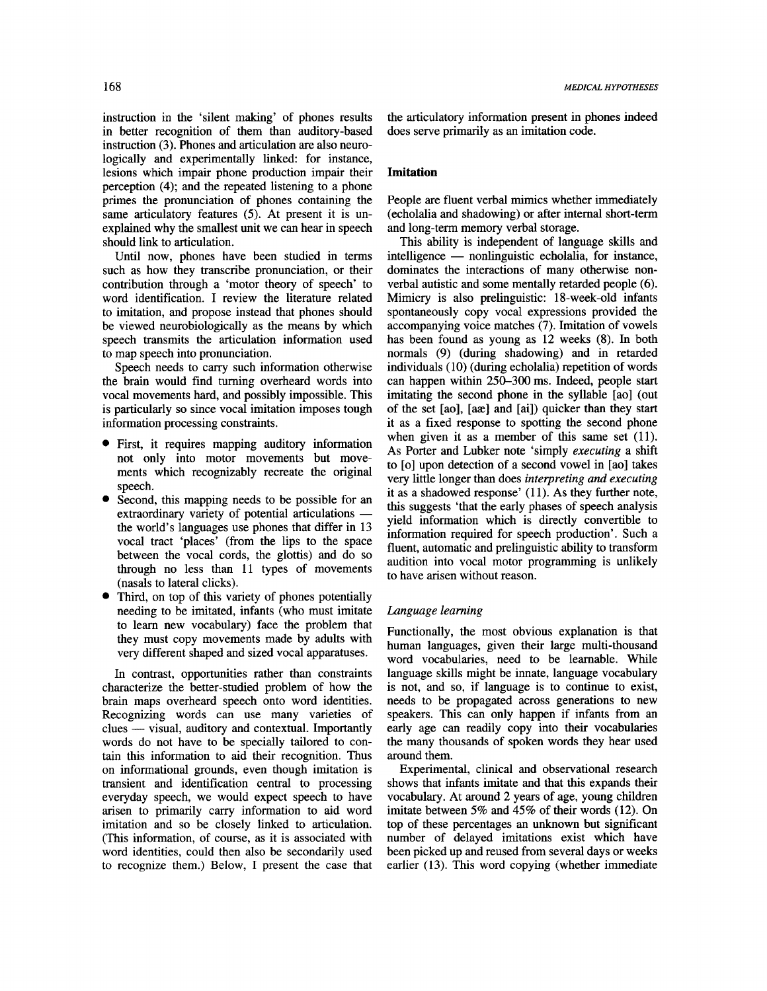instruction in the 'silent making' of phones results in better recognition of them than auditory-based instruction (3). Phones and articulation are also neurologically and experimentally linked: for instance, lesions which impair phone production impair their perception (4); and the repeated listening to a phone primes the pronunciation of phones containing the same articulatory features (5). At present it is unexplained why the smallest unit we can hear in speech should link to articulation.

Until now, phones have been studied in terms such as how they transcribe pronunciation, or their contribution through a 'motor theory of speech' to word identification. I review the literature related to imitation, and propose instead that phones should be viewed neurobiologically as the means by which speech transmits the articulation information used to map speech into pronunciation.

Speech needs to carry such information otherwise the brain would find turning overheard words into vocal movements hard, and possibly impossible. This is particularly so since vocal imitation imposes tough information processing constraints.

- First, it requires mapping auditory information not only into motor movements but movements which recognizably recreate the original speech.
- Second, this mapping needs to be possible for an extraordinary variety of potential articulations the world's languages use phones that differ in 13 vocal tract 'places' (from the lips to the space between the vocal cords, the glottis) and do so through no less than 11 types of movements (nasals to lateral clicks).
- Third, on top of this variety of phones potentially needing to be imitated, infants (who must imitate to learn new vocabulary) face the problem that they must copy movements made by adults with very different shaped and sized vocal apparatuses.

In contrast, opportunities rather than constraints characterize the better-studied problem of how the brain maps overheard speech onto word identities. Recognizing words can use many varieties of clues -- visual, auditory and contextual. Importantly words do not have to be specially tailored to contain this information to aid their recognition. Thus on informational grounds, even though imitation is transient and identification central to processing everyday speech, we would expect speech to have arisen to primarily carry information to aid word imitation and so be closely linked to articulation. (This information, of course, as it is associated with word identities, could then also be secondarily used to recognize them.) Below, I present the case that

the articulatory information present in phones indeed does serve primarily as an imitation code.

# **Imitation**

People are fluent verbal mimics whether immediately (echolalia and shadowing) or after internal short-term and long-term memory verbal storage.

This ability is independent of language skills and  $intelligence$  -- nonlinguistic echolalia, for instance, dominates the interactions of many otherwise nonverbal autistic and some mentally retarded people (6). Mimicry is also prelinguistic: 18-week-old infants spontaneously copy vocal expressions provided the accompanying voice matches (7). Imitation of vowels has been found as young as 12 weeks (8). In both normals (9) (during shadowing) and in retarded individuals (10) (during echolalia) repetition of words can happen within 250-300 ms. Indeed, people start imitating the second phone in the syllable [ao] (out of the set  $[a<sub>o</sub>], [a<sub>ae</sub>]$  and  $[a<sub>i</sub>])$  quicker than they start it as a fixed response to spotting the second phone when given it as a member of this same set  $(11)$ . As Porter and Lubker note 'simply *executing* a shift to [o] upon detection of a second vowel in [ao] takes very little longer than does *interpreting and executing*  it as a shadowed response' (11). As they further note, this suggests 'that the early phases of speech analysis yield information which is directly convertible to information required for speech production'. Such a fluent, automatic and prelinguistic ability to transform audition into vocal motor programming is unlikely to have arisen without reason.

# *Language learning*

Functionally, the most obvious explanation is that human languages, given their large multi-thousand word vocabularies, need to be learnable. While language skills might be innate, language vocabulary is not, and so, if language is to continue to exist, needs to be propagated across generations to new speakers. This can only happen if infants from an early age can readily copy into their vocabularies the many thousands of spoken words they hear used around them.

Experimental, clinical and observational research shows that infants imitate and that this expands their vocabulary. At around 2 years of age, young children imitate between 5% and 45% of their words (12). On top of these percentages an unknown but significant number of delayed imitations exist which have been picked up and reused from several days or weeks earlier (13). This word copying (whether immediate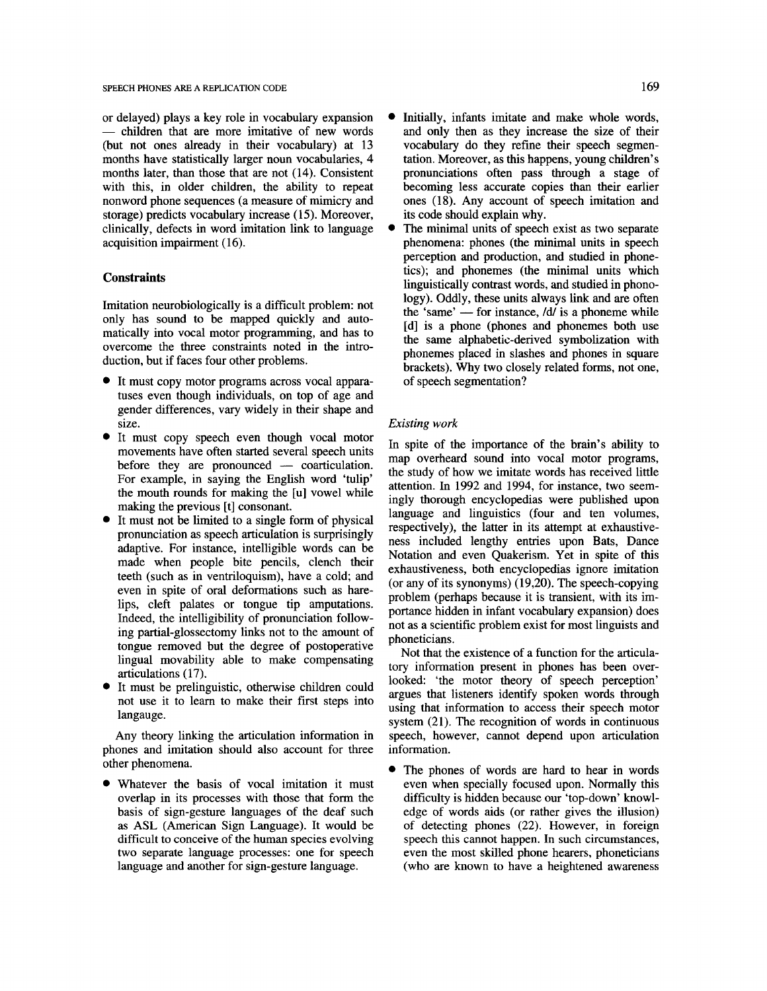or delayed) plays a key role in vocabulary expansion • - children that are more imitative of new words (but not ones already in their vocabulary) at 13 months have statistically larger noun vocabularies, 4 months later, than those that are not (14). Consistent with this, in older children, the ability to repeat nonword phone sequences (a measure of mimicry and storage) predicts vocabulary increase (15). Moreover, clinically, defects in word imitation link to language • acquisition impairment (16).

# **Constraints**

Imitation neurobiologically is a difficult problem: not only has sound to be mapped quickly and automatically into vocal motor programming, and has to overcome the three constraints noted in the introduction, but if faces four other problems.

- It must copy motor programs across vocal apparatuses even though individuals, on top of age and gender differences, vary widely in their shape and size.
- It must copy speech even though vocal motor movements have often started several speech units before they are pronounced  $-$  coarticulation. For example, in saying the English word 'tulip' the mouth rounds for making the [u] vowel while making the previous [t] consonant.
- It must not be limited to a single form of physical pronunciation as speech articulation is surprisingly adaptive. For instance, intelligible words can be made when people bite pencils, clench their teeth (such as in ventriloquism), have a cold; and even in spite of oral deformations such as harelips, cleft palates or tongue tip amputations. Indeed, the intelligibility of pronunciation following partial-glossectomy links not to the amount of tongue removed but the degree of postoperative lingual movability able to make compensating articulations (17).
- It must be prelinguistic, otherwise children could not use it to learn to make their first steps into langauge.

Any theory linking the articulation information in phones and imitation should also account for three other phenomena.

Whatever the basis of vocal imitation it must overlap in its processes with those that form the basis of sign-gesture languages of the deaf such as ASL (American Sign Language). It would be difficult to conceive of the human species evolving two separate language processes: one for speech language and another for sign-gesture language.

- Initially, infants imitate and make whole words, and only then as they increase the size of their vocabulary do they refine their speech segmentation. Moreover, as this happens, young children's pronunciations often pass through a stage of becoming less accurate copies than their earlier ones (18). Any account of speech imitation and its code should explain why.
- The minimal units of speech exist as two separate phenomena: phones (the minimal units in speech perception and production, and studied in phonetics); and phonemes (the minimal units which linguistically contrast words, and studied in phonology). Oddly, these units always link and are often the 'same'  $-$  for instance,  $\overline{d}$  is a phoneme while [d] is a phone (phones and phonemes both use the same alphabetic-derived symbolization with phonemes placed in slashes and phones in square brackets). Why two closely related forms, not one, of speech segmentation?

# *Existing work*

In spite of the importance of the brain's ability to map overheard sound into vocal motor programs, the study of how we imitate words has received little attention. In 1992 and 1994, for instance, two seemingly thorough encyclopedias were published upon language and linguistics (four and ten volumes, respectively), the latter in its attempt at exhaustiveness included lengthy entries upon Bats, Dance Notation and even Quakerism. Yet in spite of this exhaustiveness, both encyclopedias ignore imitation (or any of its synonyms) (19,20). The speech-copying problem (perhaps because it is transient, with its importance hidden in infant vocabulary expansion) does not as a scientific problem exist for most linguists and phoneticians.

Not that the existence of a function for the articulatory information present in phones has been overlooked: 'the motor theory of speech perception' argues that listeners identify spoken words through using that information to access their speech motor system (21). The recognition of words in continuous speech, however, cannot depend upon articulation information.

• The phones of words are hard to hear in words even when specially focused upon. Normally this difficulty is hidden because our 'top-down' knowledge of words aids (or rather gives the illusion) of detecting phones (22). However, in foreign speech this cannot happen. In such circumstances, even the most skilled phone hearers, phoneticians (who are known to have a heightened awareness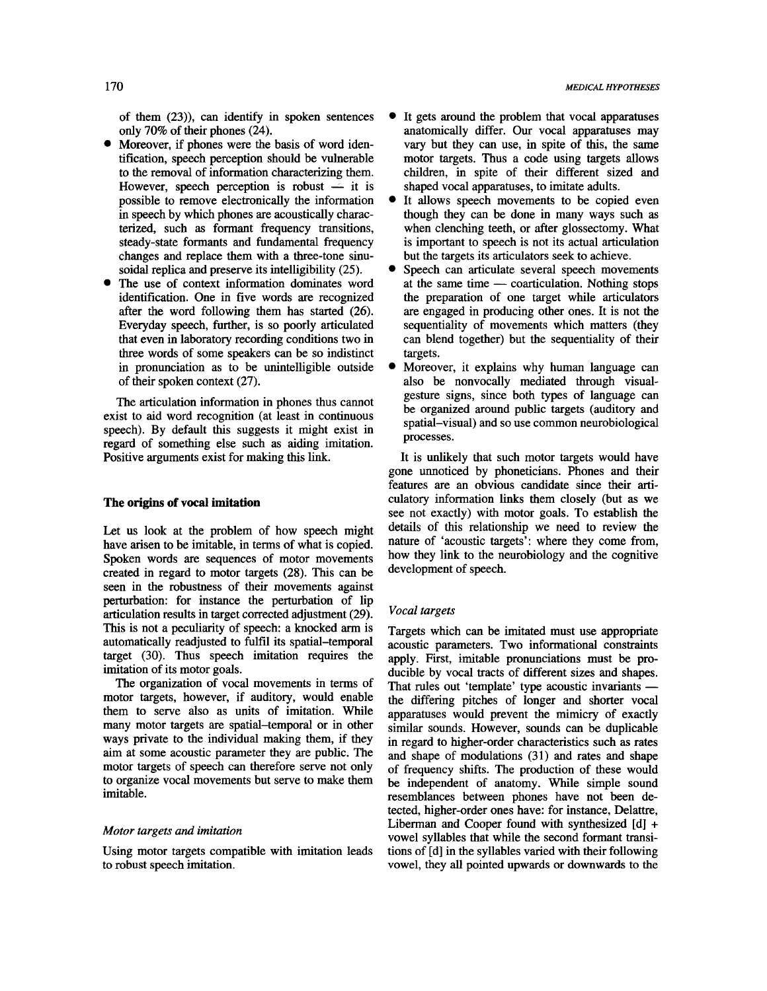of them (23)), can identify in spoken sentences only 70% of their phones (24).

- Moreover, if phones were the basis of word identification, speech perception should be vulnerable to the removal of information characterizing them. However, speech perception is robust  $-$  it is possible to remove electronically the information in speech by which phones are acoustically characterized, such as formant frequency transitions, steady-state formants and fundamental frequency changes and replace them with a three-tone sinusoidal replica and preserve its intelligibility (25).
- The use of context information dominates word identification. One in five words are recognized after the word following them has started (26). Everyday speech, further, is so poorly articulated that even in laboratory recording conditions two in three words of some speakers can be so indistinct in pronunciation as to be unintelligible outside of their spoken context (27).

The articulation information in phones thus cannot exist to aid word recognition (at least in continuous speech). By default this suggests it might exist in regard of something else such as aiding imitation. Positive arguments exist for making this link.

# **The origins of vocal imitation**

Let us look at the problem of how speech might have arisen to be imitable, in terms of what is copied. Spoken words are sequences of motor movements created in regard to motor targets (28). This can be seen in the robustness of their movements against perturbation: for instance the perturbation of lip articulation results in target corrected adjustment (29). This is not a peculiarity of speech: a knocked arm is automatically readjusted to fulfil its spatial-temporal target (30). Thus speech imitation requires the imitation of its motor goals.

The organization of vocal movements in terms of motor targets, however, if auditory, would enable them to serve also as units of imitation. While many motor targets are spatial-temporal or in other ways private to the individual making them, if they aim at some acoustic parameter they are public. The motor targets of speech can therefore serve not only to organize vocal movements but serve to make them imitable.

#### *Motor targets and imitation*

Using motor targets compatible with imitation leads to robust speech imitation.

- It gets around the problem that vocal apparatuses anatomically differ. Our vocal apparatuses may vary but they can use, in spite of this, the same motor targets. Thus a code using targets allows children, in spite of their different sized and shaped vocal apparatuses, to imitate adults.
- It allows speech movements to be copied even though they can be done in many ways such as when clenching teeth, or after glossectomy. What is important to speech is not its actual articulation but the targets its articulators seek to achieve.
- Speech can articulate several speech movements at the same time  $-$  coarticulation. Nothing stops the preparation of one target while articulators are engaged in producing other ones. It is not the sequentiality of movements which matters (they can blend together) but the sequentiality of their targets.
- Moreover, it explains why human language can also be nonvocally mediated through visualgesture signs, since both types of language can be organized around public targets (auditory and spatial-visual) and so use common neurobiological processes.

It is unlikely that such motor targets would have gone unnoticed by phoneticians. Phones and their features are an obvious candidate since their articulatory information links them closely (but as we see not exactly) with motor goals. To establish the details of this relationship we need to review the nature of 'acoustic targets': where they come from, how they link to the neurobiology and the cognitive development of speech.

# *Vocal targets*

Targets which can be imitated must use appropriate acoustic parameters. Two informational constraints apply. First, imitable pronunciations must be producible by vocal tracts of different sizes and shapes. That rules out 'template' type acoustic invariants the differing pitches of longer and shorter vocal apparatuses would prevent the mimicry of exactly similar sounds. However, sounds can be duplicable in regard to higher-order characteristics such as rates and shape of modulations (31) and rates and shape of frequency shifts. The production of these would be independent of anatomy. While simple sound resemblances between phones have not been detected, higher-order ones have: for instance, Delattre, Liberman and Cooper found with synthesized [d] + vowel syllables that while the second formant transitions of [d] in the syllables varied with their following vowel, they all pointed upwards or downwards to the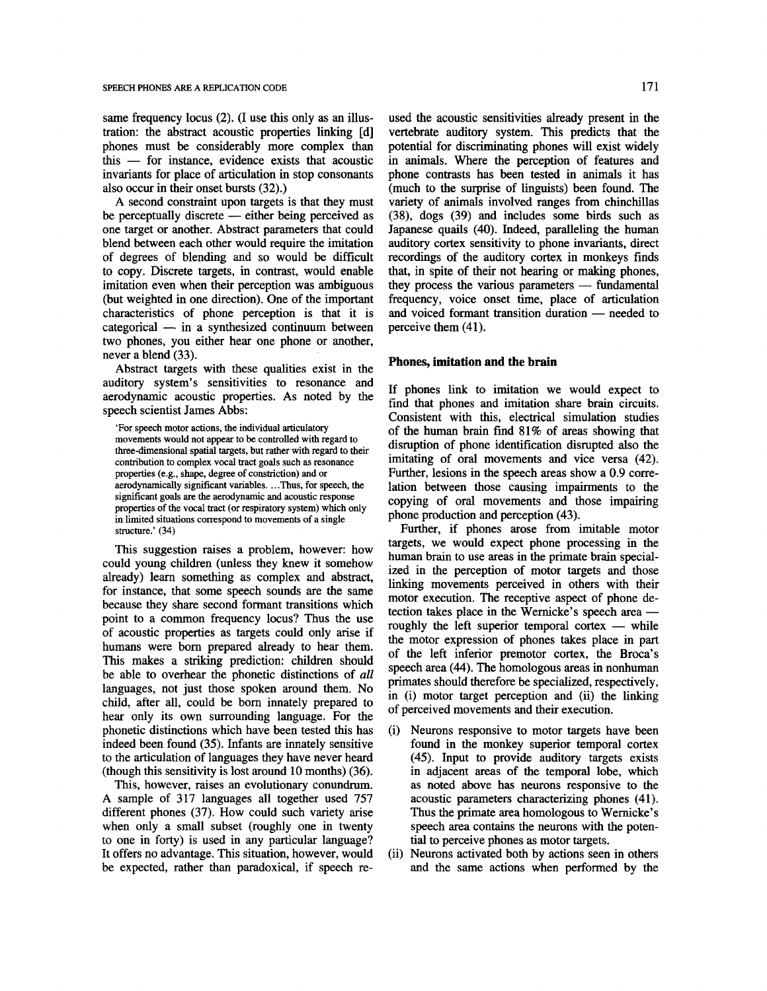same frequency locus (2). (I use this only as an illustration: the abstract acoustic properties linking [d] phones must be considerably more complex than  $this$  -- for instance, evidence exists that acoustic invariants for place of articulation in stop consonants also occur in their onset bursts (32).)

A second constraint upon targets is that they must be perceptually discrete — either being perceived as one target or another. Abstract parameters that could blend between each other would require the imitation of degrees of blending and so would be difficult to copy. Discrete targets, in contrast, would enable imitation even when their perception was ambiguous (but weighted in one direction). One of the important characteristics of phone perception is that it is  $categorical$  -- in a synthesized continuum between two phones, you either hear one phone or another, never a blend (33).

Abstract targets with these qualities exist in the auditory system's sensitivities to resonance and aerodynamic acoustic properties. As noted by the speech scientist James Abbs:

'For speech motor actions, the individual articulatory movements would not appear to be controlled with regard to three-dimensional spatial targets, but rather with regard to their contribution to complex vocal tract goals such as resonance properties (e.g., shape, degree of constriction) and or aerodynamically significant variables....Thus, for speech, the significant goals are the aerodynamic and acoustic response properties of the vocal tract (or respiratory system) which only in limited situations correspond to movements of a single structure.' (34)

This suggestion raises a problem, however: how could young children (unless they knew it somehow already) learn something as complex and abstract, for instance, that some speech sounds are the same because they share second formant transitions which point to a common frequency locus? Thus the use of acoustic properties as targets could only arise if humans were born prepared already to hear them. This makes a striking prediction: children should be able to overhear the phonetic distinctions of *all*  languages, not just those spoken around them. No child, after all, could be born innately prepared to hear only its own surrounding language. For the phonetic distinctions which have been tested this has indeed been found (35). Infants are innately sensitive to the articulation of languages they have never heard (though this sensitivity is lost around 10 months) (36).

This, however, raises an evolutionary conundrum. A sample of 317 languages all together used 757 different phones (37). How could such variety arise when only a small subset (roughly one in twenty to one in forty) is used in any particular language? It offers no advantage. This situation, however, would be expected, rather than paradoxical, if speech re-

used the acoustic sensitivities already present in the vertebrate auditory system. This predicts that the potential for discriminating phones will exist widely in animals. Where the perception of features and phone contrasts has been tested in animals it has (much to the surprise of linguists) been found. The variety of animals involved ranges from chinchillas (38), dogs (39) and includes some birds such as Japanese quails (40). Indeed, paralleling the human auditory cortex sensitivity to phone invariants, direct recordings of the auditory cortex in monkeys finds that, in spite of their not hearing or making phones, they process the various parameters  $-$  fundamental frequency, voice onset time, place of articulation and voiced formant transition duration — needed to perceive them (41).

# **Phones, imitation and the brain**

If phones link to imitation we would expect to find that phones and imitation share brain circuits. Consistent with this, electrical simulation studies of the human brain find 81% of areas showing that disruption of phone identification disrupted also the imitating of oral movements and vice versa (42). Further, lesions in the speech areas show a 0.9 correlation between those causing impairments to the copying of oral movements and those impairing phone production and perception (43).

Further, if phones arose from imitable motor targets, we would expect phone processing in the human brain to use areas in the primate brain specialized in the perception of motor targets and those linking movements perceived in others with their motor execution. The receptive aspect of phone detection takes place in the Wernicke's speech area roughly the left superior temporal cortex  $-$  while the motor expression of phones takes place in part of the left inferior premotor cortex, the Broca's speech area (44). The homologous areas in nonhuman primates should therefore he specialized, respectively, in (i) motor target perception and (ii) the linking of perceived movements and their execution.

- (i) Neurons responsive to motor targets have been found in the monkey superior temporal cortex (45). Input to provide auditory targets exists in adjacent areas of the temporal lobe, which as noted above has neurons responsive to the acoustic parameters characterizing phones (41). Thus the primate area homologous to Wernicke's speech area contains the neurons with the potential to perceive phones as motor targets.
- (ii) Neurons activated both by actions seen in others and the same actions when performed by the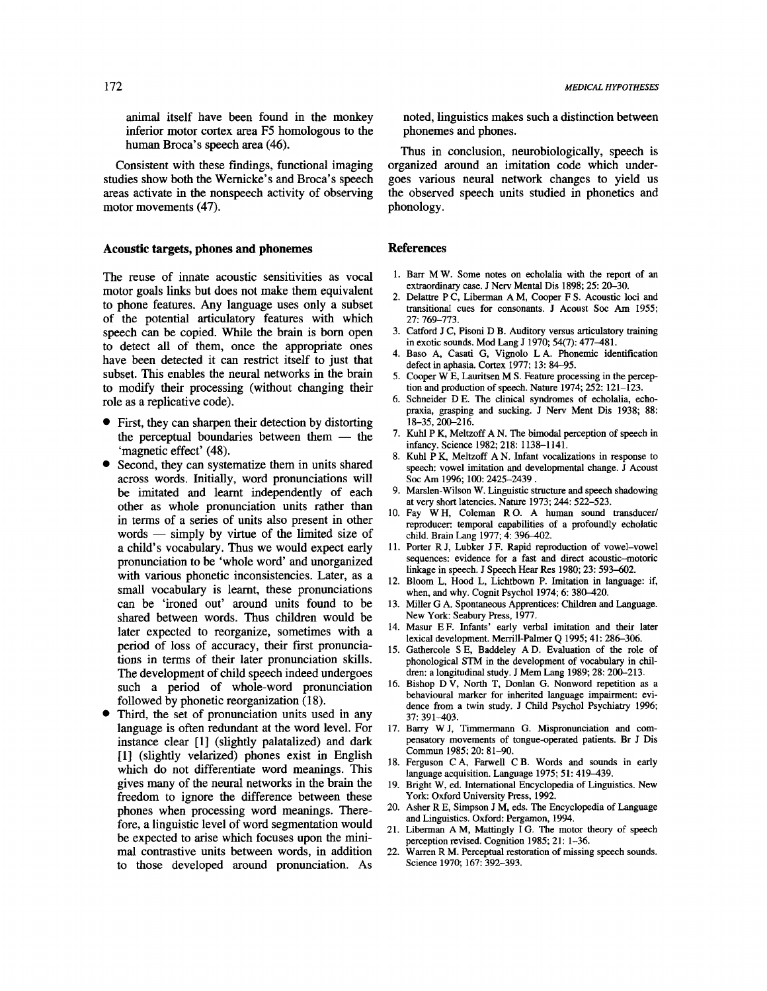animal itself have been found in the monkey inferior motor cortex area F5 homologous to the human Broca's speech area (46).

Consistent with these findings, functional imaging studies show both the Wernicke's and Broca's speech areas activate in the nonspeech activity of observing motor movements (47).

# **Acoustic targets, phones and phonemes**

The reuse of innate acoustic sensitivities as vocal motor goals links but does not make them equivalent to phone features. Any language uses only a subset of the potential articulatory features with which speech can be copied. While the brain is born open to detect all of them, once the appropriate ones have been detected it can restrict itself to just that subset. This enables the neural networks in the brain to modify their processing (without changing their role as a replicative code).

- First, they can sharpen their detection by distorting the perceptual boundaries between them  $-$  the 'magnetic effect' (48).
- Second, they can systematize them in units shared across words. Initially, word pronunciations will be imitated and learnt independently of each other as whole pronunciation units rather than in terms of a series of units also present in other words  $-$  simply by virtue of the limited size of a child's vocabulary. Thus we would expect early pronunciation to be 'whole word' and unorganized with various phonetic inconsistencies. Later, as a small vocabulary is learnt, these pronunciations can be 'ironed out' around units found to be shared between words. Thus children would be later expected to reorganize, sometimes with a period of loss of accuracy, their first pronunciations in terms of their later pronunciation skills. The development of child speech indeed undergoes such a period of whole-word pronunciation followed by phonetic reorganization (18).
- Third, the set of pronunciation units used in any language is often redundant at the word level. For instance clear [1] (slightly palatalized) and dark [1] (slightly velarized) phones exist in English which do not differentiate word meanings. This gives many of the neural networks in the brain the freedom to ignore the difference between these phones when processing word meanings. Therefore, a linguistic level of word segmentation would be expected to arise which focuses upon the minimal contrastive units between words, in addition to those developed around pronunciation. As

noted, linguistics makes such a distinction between phonemes and phones.

Thus in conclusion, neurobiologically, speech is organized around an imitation code which undergoes various neural network changes to yield us the observed speech units studied in phonetics and phonology.

# **References**

- 1. Barr M W. Some notes on echolalia with the report of an extraordinary case. J Nerv Mental Dis 1898; 25: 20-30.
- 2. Delattre P C, Liberman A M, Cooper F S. Acoustic loci and transitional cues for consonants. J Acoust Soc Am 1955; 27: 769-773.
- 3. Catford J C, Pisoni D B. Auditory versus articulatory training in exotic sounds. MOd Lang J 1970; 54(7): 477-481.
- 4. Baso A, Casati G, Viguolo L A. Phonemic identification defect in aphasia. Cortex 1977; 13: 84-95.
- 5. Cooper W E, Lauritsen M S. Feature processing in the perception and production of speech. Nature 1974; 252: 121-123.
- 6. Schneider D E. The clinical syndromes of echolalia, echopraxia, grasping and sucking. J Nerv Ment Dis 1938; 88: 18-35, 200-216.
- 7. Kuhl P K, Meltzoff A N. The bimodal perception of speech in infancy. Science 1982; 218:1138-1141.
- Kuhl P K, Meltzoff A N. Infant vocalizations in response to speech: vowel imitation and developmental change. J Acoust Soc Am 1996; 100: 2425-2439.
- 9. Marslen-Wilson W. Linguistic structure and speech shadowing at very short latencies. Nature 1973; 244: 522-523.
- 10. Fay W H, Coleman R O. A human sound transducer/ reproducer: temporal capabilities of a profoundly echolatic child. Brain Lang 1977; 4: 396-402.
- 11. Porter R J, Lubker J F. Rapid reproduction of vowel-vowel sequences: evidence for a fast and direct acoustic-motoric linkage in speech. J Speech Hear Res 1980; 23: 593-602.
- 12. Bloom L, Hood L, Lichtbown P. Imitation in language: if, when, and why. Cognit Psychol 1974; 6: 380-420.
- 13. Miller G A. Spontaneous Apprentices: Children and Language. New York: Seabury Press, 1977.
- 14. Masur E F. Infants' early verbal imitation and their later lexical development. Merrill-Palmer Q 1995; 41: 286-306.
- 15. Gathercole S E, Baddeley A D. Evaluation of the role of phonological STM in the development of vocabulary in children: a longitudinal study. J Mem Lang 1989; 28: 200-213.
- 16. Bishop D V, North T, Donlan G. Nonword repetition as a behavioural marker for inherited language impairment: evidence from a twin study. J Child Psychol Psychiatry 1996; 37: 391-403.
- 17. Barry W J, Timmermann G. Mispronunciation and compensatory movements of tongue-operated patients. Br J Dis Commun 1985; 20: 81-90.
- 18. Ferguson CA, Farwell C B. Words and sounds in early language acquisition. Language 1975; 51: 419-439.
- 19. Bright W, ed. International Encyclopedia of Linguistics. New York: Oxford University Press, 1992.
- 20. Asher R E, Simpson J M, eds. The Encyclopedia of Language and Linguistics. Oxford: Pergamon, 1994.
- Liberman A M, Mattingly I G. The motor theory of speech perception revised. Cognition 1985; 21: 1-36.
- 22. Warren R M. Perceptual restoration of missing speech sounds. Science 1970; 167: 392-393.